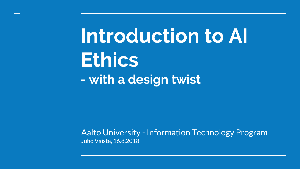**Introduction to AI Ethics - with a design twist**

Aalto University - Information Technology Program Juho Vaiste, 16.8.2018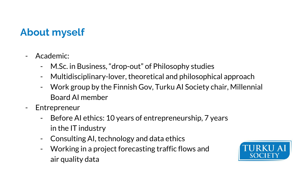### **About myself**

- Academic:
	- M.Sc. in Business, "drop-out" of Philosophy studies
	- Multidisciplinary-lover, theoretical and philosophical approach
	- Work group by the Finnish Gov, Turku AI Society chair, Millennial Board AI member
- Entrepreneur
	- Before AI ethics: 10 years of entrepreneurship, 7 years in the IT industry
	- Consulting AI, technology and data ethics
	- Working in a project forecasting traffic flows and air quality data

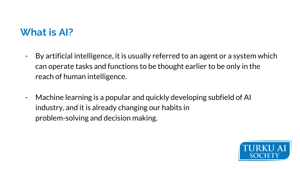### **What is AI?**

- By artificial intelligence, it is usually referred to an agent or a system which can operate tasks and functions to be thought earlier to be only in the reach of human intelligence.
- Machine learning is a popular and quickly developing subfield of AI industry, and it is already changing our habits in problem-solving and decision making.

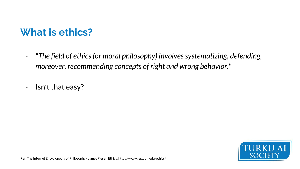### **What is ethics?**

- *"The field of ethics (or moral philosophy) involves systematizing, defending, moreover, recommending concepts of right and wrong behavior."*
- Isn't that easy?

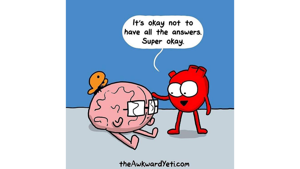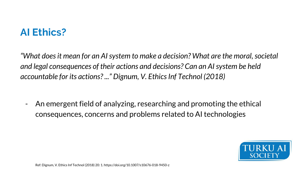### **AI Ethics?**

*"What does it mean for an AI system to make a decision? What are the moral, societal and legal consequences of their actions and decisions? Can an AI system be held accountable for its actions? ..." Dignum, V. Ethics Inf Technol (2018)*

- An emergent field of analyzing, researching and promoting the ethical consequences, concerns and problems related to AI technologies

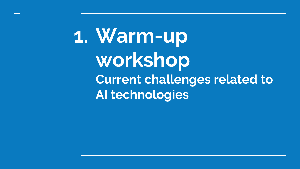**1. Warm-up workshop Current challenges related to AI technologies**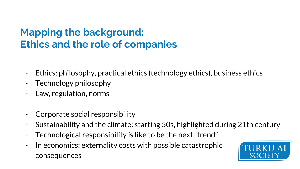### **Mapping the background: Ethics and the role of companies**

- Ethics: philosophy, practical ethics (technology ethics), business ethics
- Technology philosophy
- Law, regulation, norms
- Corporate social responsibility
- Sustainability and the climate: starting 50s, highlighted during 21th century
- Technological responsibility is like to be the next "trend"
- In economics: externality costs with possible catastrophic consequences

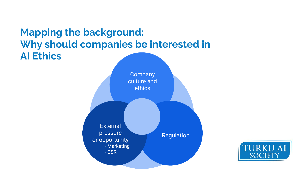

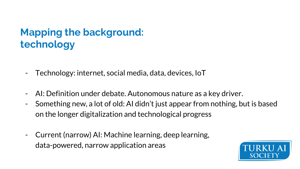### **Mapping the background: technology**

- Technology: internet, social media, data, devices, IoT
- AI: Definition under debate. Autonomous nature as a key driver.
- Something new, a lot of old: AI didn't just appear from nothing, but is based on the longer digitalization and technological progress
- Current (narrow) AI: Machine learning, deep learning, data-powered, narrow application areas

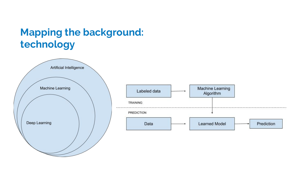### **Mapping the background: technology**

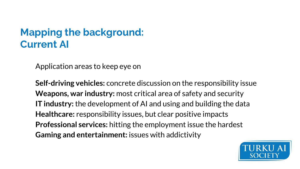### **Mapping the background: Current AI**

Application areas to keep eye on

**Self-driving vehicles:** concrete discussion on the responsibility issue **Weapons, war industry:** most critical area of safety and security **IT industry:** the development of AI and using and building the data **Healthcare:** responsibility issues, but clear positive impacts **Professional services:** hitting the employment issue the hardest **Gaming and entertainment:** issues with addictivity

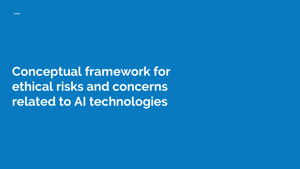**Conceptual framework for ethical risks and concerns related to AI technologies**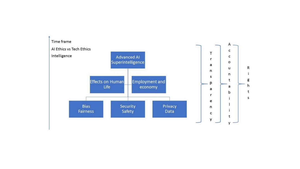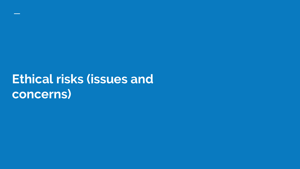# **Ethical risks (issues and concerns)**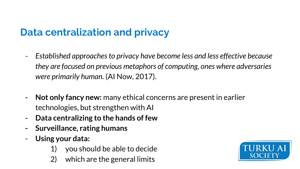### **Data centralization and privacy**

- *Established approaches to privacy have become less and less effective because they are focused on previous metaphors of computing, ones where adversaries were primarily human.* (AI Now, 2017).
- **- Not only fancy new:** many ethical concerns are present in earlier technologies, but strengthen with AI
- **- Data centralizing to the hands of few**
- **- Surveillance, rating humans**
- **Using your data:** 
	- 1) you should be able to decide
	- 2) which are the general limits

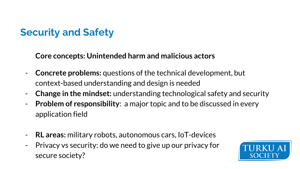## **Security and Safety**

**Core concepts: Unintended harm and malicious actors**

- **Concrete problems:** questions of the technical development, but context-based understanding and design is needed
- **Change in the mindset:** understanding technological safety and security
- **Problem of responsibility**: a major topic and to be discussed in every application field
- **RL areas:** military robots, autonomous cars, IoT-devices
- Privacy vs security: do we need to give up our privacy for secure society?

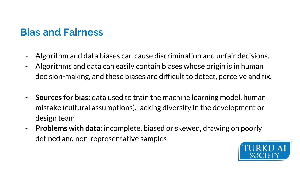### **Bias and Fairness**

- Algorithm and data biases can cause discrimination and unfair decisions.
- **-** Algorithms and data can easily contain biases whose origin is in human decision-making, and these biases are difficult to detect, perceive and fix.
- **- Sources for bias:** data used to train the machine learning model, human mistake (cultural assumptions), lacking diversity in the development or design team
- **- Problems with data:** incomplete, biased or skewed, drawing on poorly defined and non-representative samples

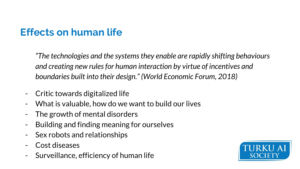## **Effects on human life**

*"The technologies and the systems they enable are rapidly shifting behaviours and creating new rules for human interaction by virtue of incentives and boundaries built into their design." (World Economic Forum, 2018)*

- Critic towards digitalized life
- What is valuable, how do we want to build our lives
- The growth of mental disorders
- Building and finding meaning for ourselves
- Sex robots and relationships
- Cost diseases
- Surveillance, efficiency of human life

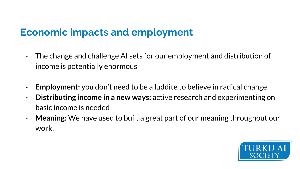### **Economic impacts and employment**

- The change and challenge AI sets for our employment and distribution of income is potentially enormous
- **- Employment:** you don't need to be a luddite to believe in radical change
- **Distributing income in a new ways:** active research and experimenting on basic income is needed
- **Meaning:** We have used to built a great part of our meaning throughout our work.

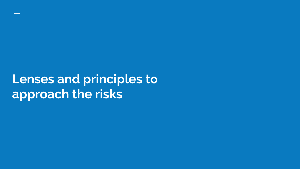# **Lenses and principles to approach the risks**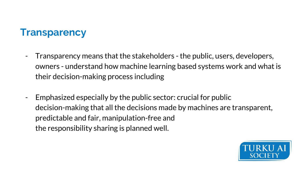### **Transparency**

- Transparency means that the stakeholders the public, users, developers, owners - understand how machine learning based systems work and what is their decision-making process including
- Emphasized especially by the public sector: crucial for public decision-making that all the decisions made by machines are transparent, predictable and fair, manipulation-free and the responsibility sharing is planned well.

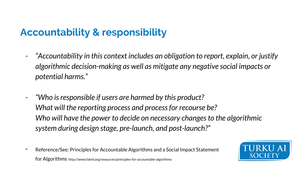## **Accountability & responsibility**

- *- "Accountability in this context includes an obligation to report, explain, or justify algorithmic decision-making as well as mitigate any negative social impacts or potential harms."*
- *- "Who is responsible if users are harmed by this product? What will the reporting process and process for recourse be? Who will have the power to decide on necessary changes to the algorithmic system during design stage, pre-launch, and post-launch?"*
- Reference/See: Principles for Accountable Algorithms and a Social Impact Statement for Algorithms http://www.fatml.org/resources/principles-for-accountable-algorithms

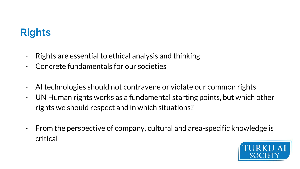### **Rights**

- Rights are essential to ethical analysis and thinking
- Concrete fundamentals for our societies
- AI technologies should not contravene or violate our common rights
- UN Human rights works as a fundamental starting points, but which other rights we should respect and in which situations?
- From the perspective of company, cultural and area-specific knowledge is critical

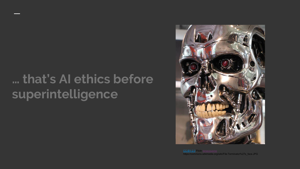# **… that's AI ethics before superintelligence**



[CC-BY-2.0](https://creativecommons.org/licenses/by/2.0/) Flickr te https://commons.wikimedia.org/wiki/File:Terminator%27s\_face.JPG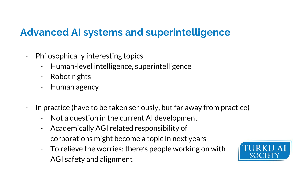### **Advanced AI systems and superintelligence**

- Philosophically interesting topics
	- Human-level intelligence, superintelligence
	- Robot rights
	- Human agency
- In practice (have to be taken seriously, but far away from practice)
	- Not a question in the current AI development
	- Academically AGI related responsibility of corporations might become a topic in next years
	- To relieve the worries: there's people working on with AGI safety and alignment

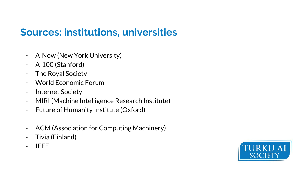### **Sources: institutions, universities**

- AINow (New York University)
- AI100 (Stanford)
- The Royal Society
- World Economic Forum
- Internet Society
- MIRI (Machine Intelligence Research Institute)
- Future of Humanity Institute (Oxford)
- ACM (Association for Computing Machinery)
- Tivia (Finland)
- IEEE

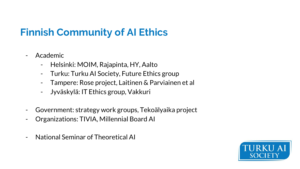## **Finnish Community of AI Ethics**

- Academic
	- Helsinki: MOIM, Rajapinta, HY, Aalto
	- Turku: Turku AI Society, Future Ethics group
	- Tampere: Rose project, Laitinen & Parviainen et al
	- Jyväskylä: IT Ethics group, Vakkuri
- Government: strategy work groups, Tekoälyaika project
- Organizations: TIVIA, Millennial Board AI
- National Seminar of Theoretical AI

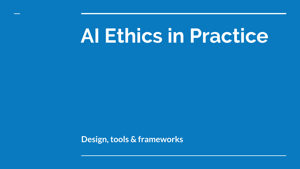# **AI Ethics in Practice**

**Design, tools & frameworks**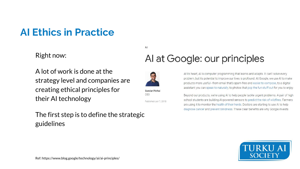### **AI Ethics in Practice**

Right now:

A lot of work is done at the strategy level and companies are creating ethical principles for their AI technology

### The first step is to define the strategic guidelines

### Al at Google: our principles



 $AI$ 

Sundar Pichai CFO

Published Jun 7, 2018

At its heart, AI is computer programming that learns and adapts. It can't solve every problem, but its potential to improve our lives is profound. At Google, we use AI to make products more useful-from email that's spam-free and easier to compose, to a digital assistant you can speak to naturally, to photos that pop the fun stuff out for you to enjoy.

Beyond our products, we're using AI to help people tackle urgent problems. A pair of high school students are building AI-powered sensors to predict the risk of wildfires. Farmers are using it to monitor the health of their herds. Doctors are starting to use AI to help diagnose cancer and prevent blindness. These clear benefits are why Google invests

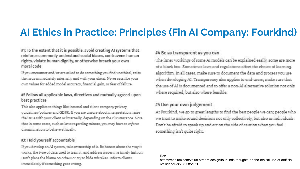### **AI Ethics in Practice: Principles (Fin AI Company: Fourkind)**

#1: To the extent that it is possible, avoid creating AI systems that reinforce commonly understood social biases, contravene human rights, violate human dignity, or otherwise breach your own moral code

If you encounter and/or are asked to do something you find unethical, raise the issue immediately internally and with your client. Never sacrifice your own values for added model accuracy, financial gain, or fear of failure.

### #2 Follow all applicable laws, directives and mutually agreed-upon best practices

This also applies to things like internal and client-company privacy guidelines/policies and GDPR. If you are unsure about interpretation, raise the issue with your client or internally, depending on the circumstance. Note that in some cases, such as laws regarding minors, you may have to enforce discrimination to behave ethically.

#### #3: Hold yourself accountable

If you develop an AI system, take ownership of it. Be honest about the way it works, the type of data used to train it, and address issues in a timely fashion. Don't place the blame on others or try to hide mistakes. Inform clients immediately if something goes wrong.

### #4 Be as transparent as you can

The inner workings of some AI models can be explained easily, some are more of a black box. Sometimes laws and regulations affect the choice of learning algorithm. In all cases, make sure to document the data and process you use when developing AI. Transparency also applies to end-users; make sure that the use of AI is documented and to offer a non-AI alternative solution not only where required, but also where feasible.

### #5 Use your own judgement

At Fourkind, we go to great lengths to find the best people we can; people who we trust to make sound decisions not only collectively, but also as individuals. Don't be afraid to speak up and err on the side of caution when you feel something isn't quite right.

#### Ref:

https://medium.com/value-stream-design/fourkinds-thoughts-on-the-ethical-use-of-artificial-i ntelligence-85672585d3f1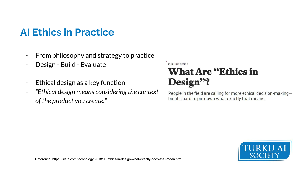### **AI Ethics in Practice**

- From philosophy and strategy to practice
- Design Build Evaluate
- Ethical design as a key function
- *- "Ethical design means considering the context of the product you create."*

### **FUTURE TENSE What Are "Ethics in** Design"?

People in the field are calling for more ethical decision-makingbut it's hard to pin down what exactly that means.

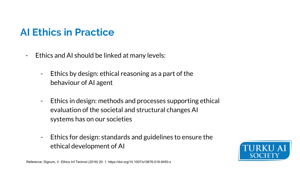### **AI Ethics in Practice**

- Ethics and AI should be linked at many levels:
	- Ethics by design: ethical reasoning as a part of the behaviour of AI agent
	- Ethics in design: methods and processes supporting ethical evaluation of the societal and structural changes AI systems has on our societies
	- Ethics for design: standards and guidelines to ensure the ethical development of AI

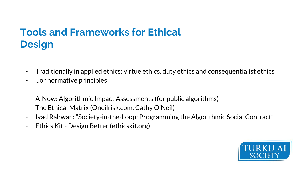### **Tools and Frameworks for Ethical Design**

- Traditionally in applied ethics: virtue ethics, duty ethics and consequentialist ethics
- ...or normative principles
- AINow: Algorithmic Impact Assessments (for public algorithms)
- The Ethical Matrix (Oneilrisk.com, Cathy O'Neil)
- Iyad Rahwan: "Society-in-the-Loop: Programming the Algorithmic Social Contract"
- Ethics Kit Design Better (ethicskit.org)

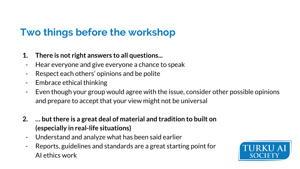### **Two things before the workshop**

- **1. There is not right answers to all questions...**
- Hear everyone and give everyone a chance to speak
- Respect each others' opinions and be polite
- Embrace ethical thinking
- Even though your group would agree with the issue, consider other possible opinions and prepare to accept that your view might not be universal
- **2. … but there is a great deal of material and tradition to built on (especially in real-life situations)**
	- Understand and analyze what has been said earlier
	- Reports, guidelines and standards are a great starting point for AI ethics work

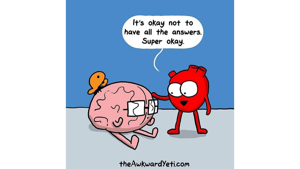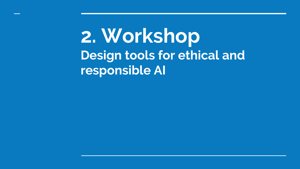**2. Workshop Design tools for ethical and responsible AI**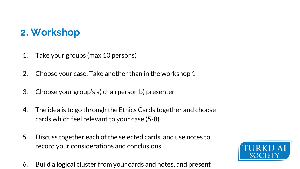### **2. Workshop**

- 1. Take your groups (max 10 persons)
- 2. Choose your case. Take another than in the workshop 1
- 3. Choose your group's a) chairperson b) presenter
- 4. The idea is to go through the Ethics Cards together and choose cards which feel relevant to your case (5-8)
- 5. Discuss together each of the selected cards, and use notes to record your considerations and conclusions
- 6. Build a logical cluster from your cards and notes, and present!

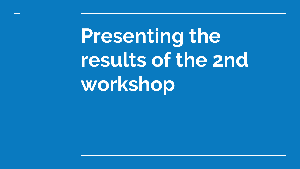**Presenting the results of the 2nd workshop**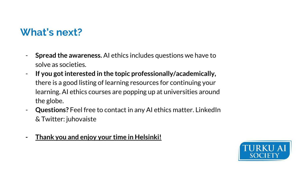### **What's next?**

- **Spread the awareness.** AI ethics includes questions we have to solve as societies.
- **If you got interested in the topic professionally/academically,**  there is a good listing of learning resources for continuing your learning. AI ethics courses are popping up at universities around the globe.
- **Questions?** Feel free to contact in any AI ethics matter. LinkedIn & Twitter: juhovaiste
- **- Thank you and enjoy your time in Helsinki!**

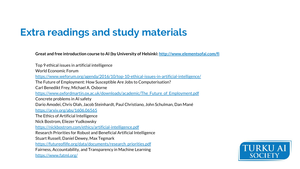### **Extra readings and study materials**

**Great and free introduction course to AI (by University of Helsinki: <http://www.elementsofai.com/fi>**

Top 9 ethical issues in artificial intelligence World Economic Forum <https://www.weforum.org/agenda/2016/10/top-10-ethical-issues-in-artificial-intelligence/> The Future of Employment: How Susceptible Are Jobs to Computerisation? Carl Benedikt Frey, Michael A. Osborne [https://www.oxfordmartin.ox.ac.uk/downloads/academic/The\\_Future\\_of\\_Employment.pdf](https://www.oxfordmartin.ox.ac.uk/downloads/academic/The_Future_of_Employment.pdf) Concrete problems in AI safety Dario Amodei, Chris Olah, Jacob Steinhardt, Paul Christiano, John Schulman, Dan Mané <https://arxiv.org/abs/1606.06565> The Ethics of Artificial Intelligence Nick Bostrom, Eliezer Yudkowsky <https://nickbostrom.com/ethics/artificial-intelligence.pdf> Research Priorities for Robust and Beneficial Artificial Intelligence Stuart Russell, Daniel Dewey, Max Tegmark [https://futureoflife.org/data/documents/research\\_priorities.pdf](https://futureoflife.org/data/documents/research_priorities.pdf) Fairness, Accountability, and Transparency in Machine Learning <https://www.fatml.org/>

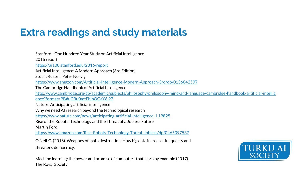### **Extra readings and study materials**

Stanford - One Hundred Year Study on Artificial Intelligence 2016 report <https://ai100.stanford.edu/2016-report> Artificial Intelligence: A Modern Approach (3rd Edition) Stuart Russell, Peter Norvig <https://www.amazon.com/Artificial-Intelligence-Modern-Approach-3rd/dp/0136042597> The Cambridge Handbook of Artificial Intelligence [http://www.cambridge.org/gb/academic/subjects/philosophy/philosophy-mind-and-language/cambridge-handbook-artificial-intellig](http://www.cambridge.org/gb/academic/subjects/philosophy/philosophy-mind-and-language/cambridge-handbook-artificial-intelligence?format=PB#uCBu0mtFhibOGaY6.97) [ence?format=PB#uCBu0mtFhibOGaY6.97](http://www.cambridge.org/gb/academic/subjects/philosophy/philosophy-mind-and-language/cambridge-handbook-artificial-intelligence?format=PB#uCBu0mtFhibOGaY6.97) Nature: Anticipating artificial intelligence Why we need AI research beyond the technological research <https://www.nature.com/news/anticipating-artificial-intelligence-1.19825> Rise of the Robots: Technology and the Threat of a Jobless Future Martin Ford <https://www.amazon.com/Rise-Robots-Technology-Threat-Jobless/dp/0465097537> O'Neil C. (2016). Weapons of math destruction: How big data increases inequality and threatens democracy.

Machine learning: the power and promise of computers that learn by example (2017). The Royal Society.

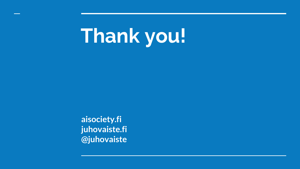# **Thank you!**

**aisociety.fi juhovaiste.fi @juhovaiste**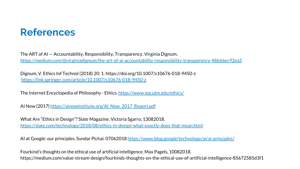### **References**

The ART of AI — Accountability, Responsibility, Transparency. Virginia Dignum. <https://medium.com/@virginiadignum/the-art-of-ai-accountability-responsibility-transparency-48666ec92ea5>

Dignum, V. Ethics Inf Technol (2018) 20: 1. https://doi.org/10.1007/s10676-018-9450-z <https://link.springer.com/article/10.1007/s10676-018-9450-z>

The Internet Encyclopedia of Philosophy - Ethics.<https://www.iep.utm.edu/ethics/>

AI Now (2017) [https://ainowinstitute.org/AI\\_Now\\_2017\\_Report.pdf](https://ainowinstitute.org/AI_Now_2017_Report.pdf)

What Are "Ethics in Design"? Slate Magazine. Victoria Sgarro, 13082018. <https://slate.com/technology/2018/08/ethics-in-design-what-exactly-does-that-mean.html>

AI at Google: our principles. Sundar Pichai. 07062018<https://www.blog.google/technology/ai/ai-principles/>

Fourkind's thoughts on the ethical use of artificial intelligence. Max Pagels, 10082018. https://medium.com/value-stream-design/fourkinds-thoughts-on-the-ethical-use-of-artificial-intelligence-85672585d3f1